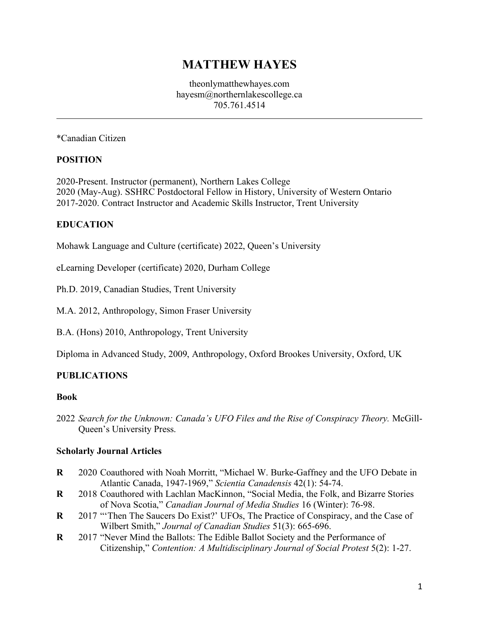# **MATTHEW HAYES**

theonlymatthewhayes.com hayesm@northernlakescollege.ca 705.761.4514

\*Canadian Citizen

#### **POSITION**

2020-Present. Instructor (permanent), Northern Lakes College 2020 (May-Aug). SSHRC Postdoctoral Fellow in History, University of Western Ontario 2017-2020. Contract Instructor and Academic Skills Instructor, Trent University

#### **EDUCATION**

Mohawk Language and Culture (certificate) 2022, Queen's University

eLearning Developer (certificate) 2020, Durham College

Ph.D. 2019, Canadian Studies, Trent University

M.A. 2012, Anthropology, Simon Fraser University

B.A. (Hons) 2010, Anthropology, Trent University

Diploma in Advanced Study, 2009, Anthropology, Oxford Brookes University, Oxford, UK

#### **PUBLICATIONS**

#### **Book**

2022 *Search for the Unknown: Canada's UFO Files and the Rise of Conspiracy Theory.* McGill-Queen's University Press.

#### **Scholarly Journal Articles**

- **R** 2020 Coauthored with Noah Morritt, "Michael W. Burke-Gaffney and the UFO Debate in Atlantic Canada, 1947-1969," *Scientia Canadensis* 42(1): 54-74.
- **R** 2018 Coauthored with Lachlan MacKinnon, "Social Media, the Folk, and Bizarre Stories of Nova Scotia," *Canadian Journal of Media Studies* 16 (Winter): 76-98.
- **R** 2017 "'Then The Saucers Do Exist?' UFOs, The Practice of Conspiracy, and the Case of Wilbert Smith," *Journal of Canadian Studies* 51(3): 665-696.
- **R** 2017 "Never Mind the Ballots: The Edible Ballot Society and the Performance of Citizenship," *Contention: A Multidisciplinary Journal of Social Protest* 5(2): 1-27.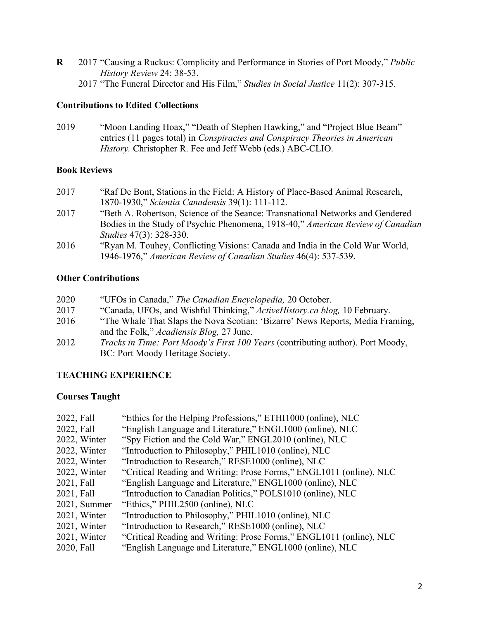- **R** 2017 "Causing a Ruckus: Complicity and Performance in Stories of Port Moody," *Public History Review* 24: 38-53.
	- 2017 "The Funeral Director and His Film," *Studies in Social Justice* 11(2): 307-315.

## **Contributions to Edited Collections**

2019 "Moon Landing Hoax," "Death of Stephen Hawking," and "Project Blue Beam" entries (11 pages total) in *Conspiracies and Conspiracy Theories in American History.* Christopher R. Fee and Jeff Webb (eds.) ABC-CLIO.

# **Book Reviews**

- 2017 "Raf De Bont, Stations in the Field: A History of Place-Based Animal Research, 1870-1930," *Scientia Canadensis* 39(1): 111-112.
- 2017 "Beth A. Robertson, Science of the Seance: Transnational Networks and Gendered Bodies in the Study of Psychic Phenomena, 1918-40," *American Review of Canadian Studies* 47(3): 328-330.
- 2016 "Ryan M. Touhey, Conflicting Visions: Canada and India in the Cold War World, 1946-1976," *American Review of Canadian Studies* 46(4): 537-539.

# **Other Contributions**

 "UFOs in Canada," *The Canadian Encyclopedia,* 20 October. "Canada, UFOs, and Wishful Thinking," *ActiveHistory.ca blog,* 10 February. "The Whale That Slaps the Nova Scotian: 'Bizarre' News Reports, Media Framing, and the Folk," *Acadiensis Blog,* 27 June. *Tracks in Time: Port Moody's First 100 Years* (contributing author). Port Moody, BC: Port Moody Heritage Society.

# **TEACHING EXPERIENCE**

# **Courses Taught**

| 2022, Fall   | "Ethics for the Helping Professions," ETHI1000 (online), NLC        |
|--------------|---------------------------------------------------------------------|
| 2022, Fall   | "English Language and Literature," ENGL1000 (online), NLC           |
| 2022, Winter | "Spy Fiction and the Cold War," ENGL2010 (online), NLC              |
| 2022, Winter | "Introduction to Philosophy," PHIL1010 (online), NLC                |
| 2022, Winter | "Introduction to Research," RESE1000 (online), NLC                  |
| 2022, Winter | "Critical Reading and Writing: Prose Forms," ENGL1011 (online), NLC |
| 2021, Fall   | "English Language and Literature," ENGL1000 (online), NLC           |
| 2021, Fall   | "Introduction to Canadian Politics," POLS1010 (online), NLC         |
| 2021, Summer | "Ethics," PHIL2500 (online), NLC                                    |
| 2021, Winter | "Introduction to Philosophy," PHIL1010 (online), NLC                |
| 2021, Winter | "Introduction to Research," RESE1000 (online), NLC                  |
| 2021, Winter | "Critical Reading and Writing: Prose Forms," ENGL1011 (online), NLC |
| 2020, Fall   | "English Language and Literature," ENGL1000 (online), NLC           |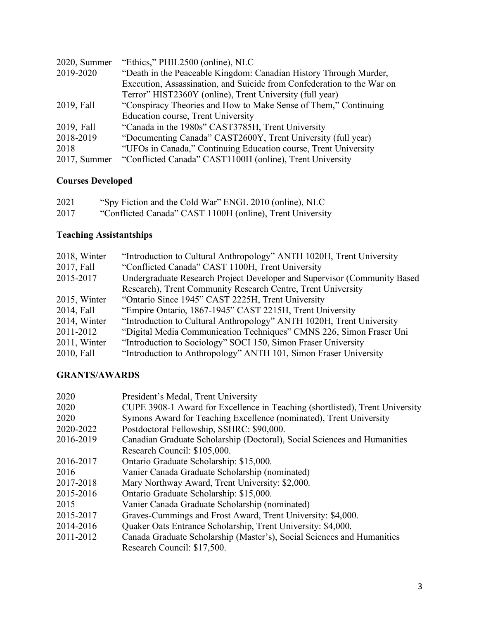| 2020, Summer | "Ethics," PHIL2500 (online), NLC                                       |
|--------------|------------------------------------------------------------------------|
| 2019-2020    | "Death in the Peaceable Kingdom: Canadian History Through Murder,      |
|              | Execution, Assassination, and Suicide from Confederation to the War on |
|              | Terror" HIST2360Y (online), Trent University (full year)               |
| 2019, Fall   | "Conspiracy Theories and How to Make Sense of Them," Continuing        |
|              | Education course, Trent University                                     |
| 2019, Fall   | "Canada in the 1980s" CAST3785H, Trent University                      |
| 2018-2019    | "Documenting Canada" CAST2600Y, Trent University (full year)           |
| 2018         | "UFOs in Canada," Continuing Education course, Trent University        |
| 2017, Summer | "Conflicted Canada" CAST1100H (online), Trent University               |

# **Courses Developed**

| 2021 | "Spy Fiction and the Cold War" ENGL 2010 (online), NLC    |
|------|-----------------------------------------------------------|
| 2017 | "Conflicted Canada" CAST 1100H (online), Trent University |

# **Teaching Assistantships**

| 2018, Winter | "Introduction to Cultural Anthropology" ANTH 1020H, Trent University     |
|--------------|--------------------------------------------------------------------------|
| 2017, Fall   | "Conflicted Canada" CAST 1100H, Trent University                         |
| 2015-2017    | Undergraduate Research Project Developer and Supervisor (Community Based |
|              | Research), Trent Community Research Centre, Trent University             |
| 2015, Winter | "Ontario Since 1945" CAST 2225H, Trent University                        |
| 2014, Fall   | "Empire Ontario, 1867-1945" CAST 2215H, Trent University                 |
| 2014, Winter | "Introduction to Cultural Anthropology" ANTH 1020H, Trent University     |
| 2011-2012    | "Digital Media Communication Techniques" CMNS 226, Simon Fraser Uni      |
| 2011, Winter | "Introduction to Sociology" SOCI 150, Simon Fraser University            |
| 2010, Fall   | "Introduction to Anthropology" ANTH 101, Simon Fraser University         |

# **GRANTS/AWARDS**

| 2020      | President's Medal, Trent University                                          |
|-----------|------------------------------------------------------------------------------|
| 2020      | CUPE 3908-1 Award for Excellence in Teaching (shortlisted), Trent University |
| 2020      | Symons Award for Teaching Excellence (nominated), Trent University           |
| 2020-2022 | Postdoctoral Fellowship, SSHRC: \$90,000.                                    |
| 2016-2019 | Canadian Graduate Scholarship (Doctoral), Social Sciences and Humanities     |
|           | Research Council: \$105,000.                                                 |
| 2016-2017 | Ontario Graduate Scholarship: \$15,000.                                      |
| 2016      | Vanier Canada Graduate Scholarship (nominated)                               |
| 2017-2018 | Mary Northway Award, Trent University: \$2,000.                              |
| 2015-2016 | Ontario Graduate Scholarship: \$15,000.                                      |
| 2015      | Vanier Canada Graduate Scholarship (nominated)                               |
| 2015-2017 | Graves-Cummings and Frost Award, Trent University: \$4,000.                  |
| 2014-2016 | Quaker Oats Entrance Scholarship, Trent University: \$4,000.                 |
| 2011-2012 | Canada Graduate Scholarship (Master's), Social Sciences and Humanities       |
|           | Research Council: \$17,500.                                                  |
|           |                                                                              |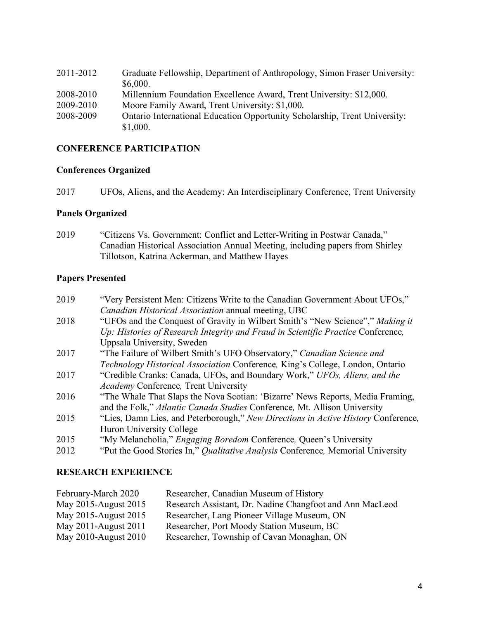| 2011-2012 | Graduate Fellowship, Department of Anthropology, Simon Fraser University:  |
|-----------|----------------------------------------------------------------------------|
|           | \$6,000.                                                                   |
| 2008-2010 | Millennium Foundation Excellence Award, Trent University: \$12,000.        |
| 2009-2010 | Moore Family Award, Trent University: \$1,000.                             |
| 2008-2009 | Ontario International Education Opportunity Scholarship, Trent University: |
|           | \$1,000.                                                                   |

## **CONFERENCE PARTICIPATION**

#### **Conferences Organized**

2017 UFOs, Aliens, and the Academy: An Interdisciplinary Conference, Trent University

#### **Panels Organized**

2019 "Citizens Vs. Government: Conflict and Letter-Writing in Postwar Canada," Canadian Historical Association Annual Meeting, including papers from Shirley Tillotson, Katrina Ackerman, and Matthew Hayes

### **Papers Presented**

| 2019 | "Very Persistent Men: Citizens Write to the Canadian Government About UFOs,"      |
|------|-----------------------------------------------------------------------------------|
|      | Canadian Historical Association annual meeting, UBC                               |
| 2018 | "UFOs and the Conquest of Gravity in Wilbert Smith's "New Science"," Making it    |
|      | Up: Histories of Research Integrity and Fraud in Scientific Practice Conference,  |
|      | Uppsala University, Sweden                                                        |
| 2017 | "The Failure of Wilbert Smith's UFO Observatory," Canadian Science and            |
|      | Technology Historical Association Conference, King's College, London, Ontario     |
| 2017 | "Credible Cranks: Canada, UFOs, and Boundary Work," UFOs, Aliens, and the         |
|      | <b>Academy Conference</b> , Trent University                                      |
| 2016 | "The Whale That Slaps the Nova Scotian: 'Bizarre' News Reports, Media Framing,    |
|      | and the Folk," Atlantic Canada Studies Conference, Mt. Allison University         |
| 2015 | "Lies, Damn Lies, and Peterborough," New Directions in Active History Conference, |
|      | Huron University College                                                          |
| 2015 | "My Melancholia," Engaging Boredom Conference, Queen's University                 |
| 2012 | "Put the Good Stories In," Qualitative Analysis Conference, Memorial University   |
|      |                                                                                   |

#### **RESEARCH EXPERIENCE**

| February-March 2020  | Researcher, Canadian Museum of History                   |
|----------------------|----------------------------------------------------------|
| May 2015-August 2015 | Research Assistant, Dr. Nadine Changfoot and Ann MacLeod |
| May 2015-August 2015 | Researcher, Lang Pioneer Village Museum, ON              |
| May 2011-August 2011 | Researcher, Port Moody Station Museum, BC                |
| May 2010-August 2010 | Researcher, Township of Cavan Monaghan, ON               |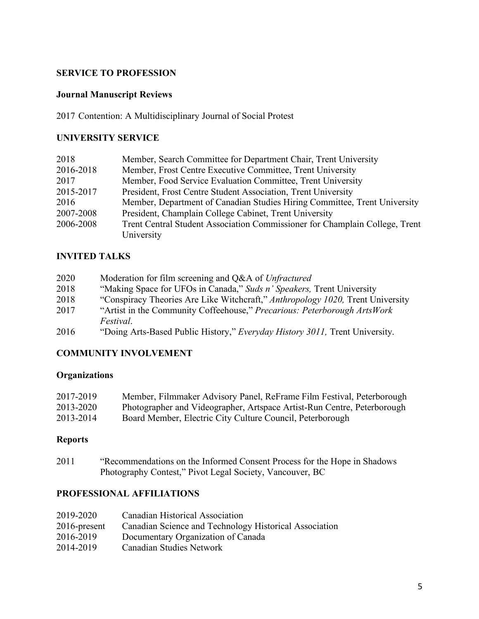## **SERVICE TO PROFESSION**

### **Journal Manuscript Reviews**

2017 Contention: A Multidisciplinary Journal of Social Protest

#### **UNIVERSITY SERVICE**

| 2018      | Member, Search Committee for Department Chair, Trent University             |
|-----------|-----------------------------------------------------------------------------|
| 2016-2018 | Member, Frost Centre Executive Committee, Trent University                  |
| 2017      | Member, Food Service Evaluation Committee, Trent University                 |
| 2015-2017 | President, Frost Centre Student Association, Trent University               |
| 2016      | Member, Department of Canadian Studies Hiring Committee, Trent University   |
| 2007-2008 | President, Champlain College Cabinet, Trent University                      |
| 2006-2008 | Trent Central Student Association Commissioner for Champlain College, Trent |
|           | University                                                                  |

#### **INVITED TALKS**

| 2020 | Moderation for film screening and Q&A of Unfractured                           |
|------|--------------------------------------------------------------------------------|
| 2018 | "Making Space for UFOs in Canada," Suds n' Speakers, Trent University          |
| 2018 | "Conspiracy Theories Are Like Witchcraft," Anthropology 1020, Trent University |
| 2017 | "Artist in the Community Coffeehouse," Precarious: Peterborough ArtsWork       |
|      | <i>Festival.</i>                                                               |
| 2016 | "Doing Arts-Based Public History," Everyday History 3011, Trent University.    |

## **COMMUNITY INVOLVEMENT**

# **Organizations**

| 2017-2019 | Member, Filmmaker Advisory Panel, ReFrame Film Festival, Peterborough   |
|-----------|-------------------------------------------------------------------------|
| 2013-2020 | Photographer and Videographer, Artspace Artist-Run Centre, Peterborough |
| 2013-2014 | Board Member, Electric City Culture Council, Peterborough               |

## **Reports**

2011 "Recommendations on the Informed Consent Process for the Hope in Shadows Photography Contest," Pivot Legal Society, Vancouver, BC

### **PROFESSIONAL AFFILIATIONS**

| 2019-2020    | Canadian Historical Association                        |
|--------------|--------------------------------------------------------|
| 2016-present | Canadian Science and Technology Historical Association |
| 2016-2019    | Documentary Organization of Canada                     |
| 2014-2019    | Canadian Studies Network                               |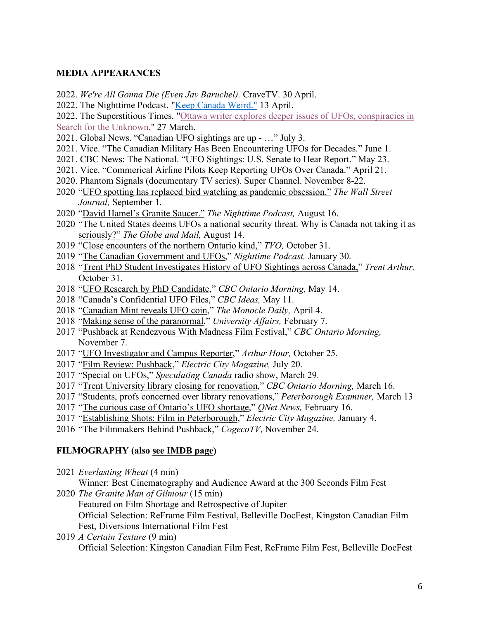#### **MEDIA APPEARANCES**

- 2022. *We're All Gonna Die (Even Jay Baruchel).* CraveTV. 30 April.
- 2022. The Nighttime Podcast. "Keep Canada Weird." 13 April.
- 2022. The Superstitious Times. "Ottawa writer explores deeper issues of UFOs, conspiracies in

Search for the Unknown." 27 March.

- 2021. Global News. "Canadian UFO sightings are up …" July 3.
- 2021. Vice. "The Canadian Military Has Been Encountering UFOs for Decades." June 1.
- 2021. CBC News: The National. "UFO Sightings: U.S. Senate to Hear Report." May 23.
- 2021. Vice. "Commerical Airline Pilots Keep Reporting UFOs Over Canada." April 21.
- 2020. Phantom Signals (documentary TV series). Super Channel. November 8-22.
- 2020 "UFO spotting has replaced bird watching as pandemic obsession." *The Wall Street Journal,* September 1.
- 2020 "David Hamel's Granite Saucer." *The Nighttime Podcast,* August 16.
- 2020 "The United States deems UFOs a national security threat. Why is Canada not taking it as seriously?" *The Globe and Mail,* August 14.
- 2019 "Close encounters of the northern Ontario kind," *TVO,* October 31.
- 2019 "The Canadian Government and UFOs," *Nighttime Podcast,* January 30.
- 2018 "Trent PhD Student Investigates History of UFO Sightings across Canada," *Trent Arthur,*  October 31.
- 2018 "UFO Research by PhD Candidate," *CBC Ontario Morning,* May 14.
- 2018 "Canada's Confidential UFO Files," *CBC Ideas,* May 11.
- 2018 "Canadian Mint reveals UFO coin," *The Monocle Daily,* April 4.
- 2018 "Making sense of the paranormal," *University Affairs,* February 7.
- 2017 "Pushback at Rendezvous With Madness Film Festival," *CBC Ontario Morning,*  November 7.
- 2017 "UFO Investigator and Campus Reporter," *Arthur Hour,* October 25.
- 2017 "Film Review: Pushback," *Electric City Magazine,* July 20.
- 2017 "Special on UFOs," *Speculating Canada* radio show, March 29.
- 2017 "Trent University library closing for renovation," *CBC Ontario Morning,* March 16.
- 2017 "Students, profs concerned over library renovations," *Peterborough Examiner,* March 13
- 2017 "The curious case of Ontario's UFO shortage," *QNet News,* February 16.
- 2017 "Establishing Shots: Film in Peterborough," *Electric City Magazine,* January 4.
- 2016 "The Filmmakers Behind Pushback," *CogecoTV,* November 24.

#### **FILMOGRAPHY (also see IMDB page)**

2021 *Everlasting Wheat* (4 min)

Winner: Best Cinematography and Audience Award at the 300 Seconds Film Fest

- 2020 *The Granite Man of Gilmour* (15 min) Featured on Film Shortage and Retrospective of Jupiter Official Selection: ReFrame Film Festival, Belleville DocFest, Kingston Canadian Film
	- Fest, Diversions International Film Fest
- 2019 *A Certain Texture* (9 min) Official Selection: Kingston Canadian Film Fest, ReFrame Film Fest, Belleville DocFest